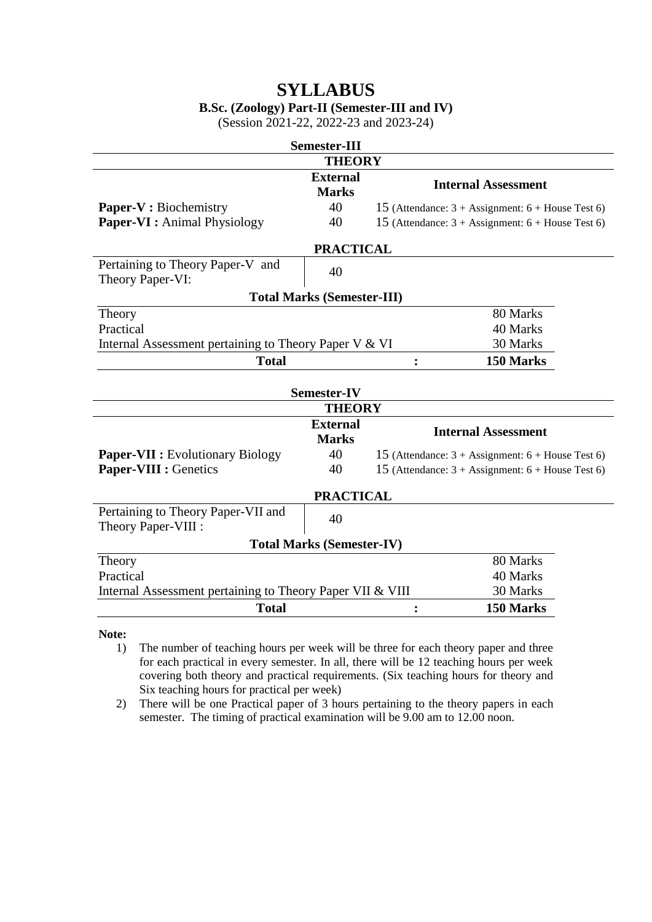# **SYLLABUS**

# **B.Sc. (Zoology) Part-II (Semester-III and IV)**

(Session 2021-22, 2022-23 and 2023-24)

| <b>Semester-III</b>                                                   |                                 |                                                                     |                                                                     |  |  |  |
|-----------------------------------------------------------------------|---------------------------------|---------------------------------------------------------------------|---------------------------------------------------------------------|--|--|--|
|                                                                       | <b>THEORY</b>                   |                                                                     |                                                                     |  |  |  |
|                                                                       | <b>External</b><br><b>Marks</b> |                                                                     | <b>Internal Assessment</b>                                          |  |  |  |
| Paper-V : Biochemistry                                                | 40                              |                                                                     | 15 (Attendance: $3 + \text{Assignment: } 6 + \text{House Test 6}$ ) |  |  |  |
| <b>Paper-VI</b> : Animal Physiology                                   | 40                              | 15 (Attendance: $3 + \text{Assignment: } 6 + \text{House Test 6}$ ) |                                                                     |  |  |  |
| <b>PRACTICAL</b>                                                      |                                 |                                                                     |                                                                     |  |  |  |
| Pertaining to Theory Paper-V and<br>Theory Paper-VI:                  | 40                              |                                                                     |                                                                     |  |  |  |
| <b>Total Marks (Semester-III)</b>                                     |                                 |                                                                     |                                                                     |  |  |  |
| Theory                                                                |                                 | 80 Marks                                                            |                                                                     |  |  |  |
| Practical                                                             |                                 | 40 Marks                                                            |                                                                     |  |  |  |
| 30 Marks<br>Internal Assessment pertaining to Theory Paper V & VI     |                                 |                                                                     |                                                                     |  |  |  |
| <b>Total</b><br>150 Marks<br>$\ddot{\cdot}$                           |                                 |                                                                     |                                                                     |  |  |  |
|                                                                       | <b>Semester-IV</b>              |                                                                     |                                                                     |  |  |  |
|                                                                       | <b>THEORY</b>                   |                                                                     |                                                                     |  |  |  |
|                                                                       | <b>External</b><br><b>Marks</b> | <b>Internal Assessment</b>                                          |                                                                     |  |  |  |
| <b>Paper-VII :</b> Evolutionary Biology                               | 40                              | 15 (Attendance: $3 + \text{Assignment: } 6 + \text{House Test 6}$ ) |                                                                     |  |  |  |
| <b>Paper-VIII : Genetics</b>                                          | 40                              | 15 (Attendance: $3 + \text{Assignment: } 6 + \text{House Test 6}$ ) |                                                                     |  |  |  |
| <b>PRACTICAL</b>                                                      |                                 |                                                                     |                                                                     |  |  |  |
| Pertaining to Theory Paper-VII and<br>Theory Paper-VIII :             | 40                              |                                                                     |                                                                     |  |  |  |
| <b>Total Marks (Semester-IV)</b>                                      |                                 |                                                                     |                                                                     |  |  |  |
| Theory                                                                |                                 | 80 Marks                                                            |                                                                     |  |  |  |
| Practical                                                             |                                 | 40 Marks                                                            |                                                                     |  |  |  |
| 30 Marks<br>Internal Assessment pertaining to Theory Paper VII & VIII |                                 |                                                                     |                                                                     |  |  |  |
| 150 Marks<br><b>Total</b>                                             |                                 |                                                                     |                                                                     |  |  |  |

**Note:**

- 1) The number of teaching hours per week will be three for each theory paper and three for each practical in every semester. In all, there will be 12 teaching hours per week covering both theory and practical requirements. (Six teaching hours for theory and Six teaching hours for practical per week)
- 2) There will be one Practical paper of 3 hours pertaining to the theory papers in each semester. The timing of practical examination will be 9.00 am to 12.00 noon.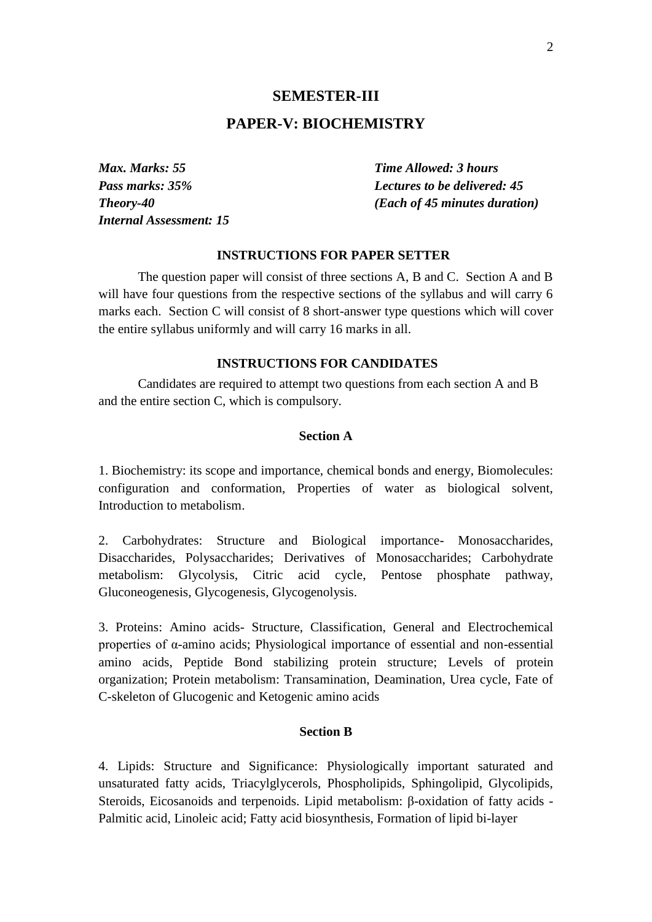### **SEMESTER-III**

# **PAPER-V: BIOCHEMISTRY**

*Max. Marks: 55 Time Allowed: 3 hours Internal Assessment: 15*

*Pass marks: 35% Lectures to be delivered: 45 Theory-40 (Each of 45 minutes duration)*

### **INSTRUCTIONS FOR PAPER SETTER**

The question paper will consist of three sections A, B and C. Section A and B will have four questions from the respective sections of the syllabus and will carry 6 marks each. Section C will consist of 8 short-answer type questions which will cover the entire syllabus uniformly and will carry 16 marks in all.

### **INSTRUCTIONS FOR CANDIDATES**

Candidates are required to attempt two questions from each section A and B and the entire section C, which is compulsory.

### **Section A**

1. Biochemistry: its scope and importance, chemical bonds and energy, Biomolecules: configuration and conformation, Properties of water as biological solvent, Introduction to metabolism.

2. Carbohydrates: Structure and Biological importance- Monosaccharides, Disaccharides, Polysaccharides; Derivatives of Monosaccharides; Carbohydrate metabolism: Glycolysis, Citric acid cycle, Pentose phosphate pathway, Gluconeogenesis, Glycogenesis, Glycogenolysis.

3. Proteins: Amino acids- Structure, Classification, General and Electrochemical properties of α-amino acids; Physiological importance of essential and non-essential amino acids, Peptide Bond stabilizing protein structure; Levels of protein organization; Protein metabolism: Transamination, Deamination, Urea cycle, Fate of C-skeleton of Glucogenic and Ketogenic amino acids

### **Section B**

4. Lipids: Structure and Significance: Physiologically important saturated and unsaturated fatty acids, Triacylglycerols, Phospholipids, Sphingolipid, Glycolipids, Steroids, Eicosanoids and terpenoids. Lipid metabolism: β-oxidation of fatty acids - Palmitic acid, Linoleic acid; Fatty acid biosynthesis, Formation of lipid bi-layer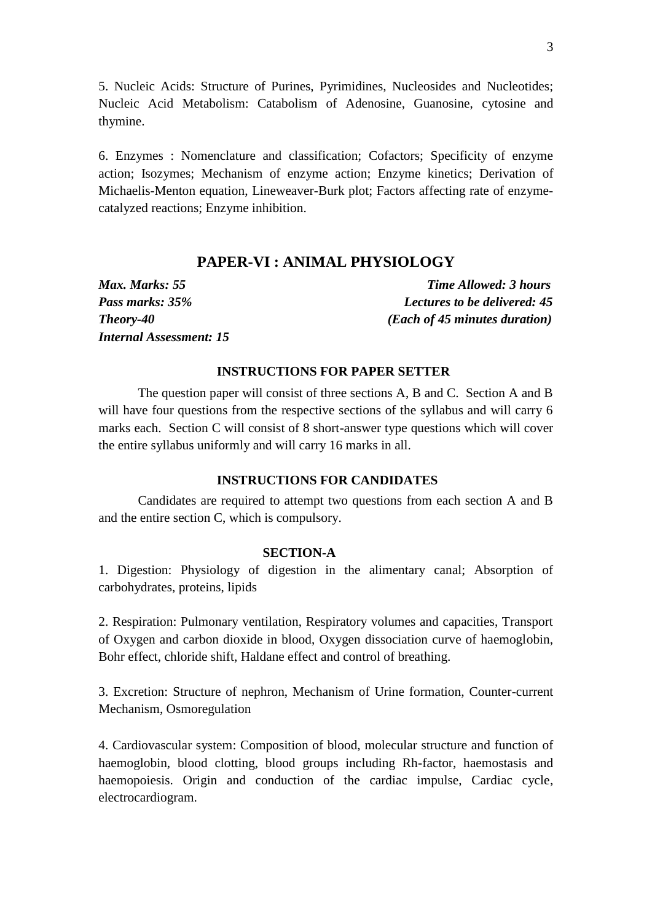5. Nucleic Acids: Structure of Purines, Pyrimidines, Nucleosides and Nucleotides; Nucleic Acid Metabolism: Catabolism of Adenosine, Guanosine, cytosine and thymine.

6. Enzymes : Nomenclature and classification; Cofactors; Specificity of enzyme action; Isozymes; Mechanism of enzyme action; Enzyme kinetics; Derivation of Michaelis-Menton equation, Lineweaver-Burk plot; Factors affecting rate of enzymecatalyzed reactions; Enzyme inhibition.

# **PAPER-VI : ANIMAL PHYSIOLOGY**

*Max. Marks: 55 Time Allowed: 3 hours Pass marks: 35% Lectures to be delivered: 45 Theory-40 (Each of 45 minutes duration) Internal Assessment: 15*

# **INSTRUCTIONS FOR PAPER SETTER**

The question paper will consist of three sections A, B and C. Section A and B will have four questions from the respective sections of the syllabus and will carry 6 marks each. Section C will consist of 8 short-answer type questions which will cover the entire syllabus uniformly and will carry 16 marks in all.

# **INSTRUCTIONS FOR CANDIDATES**

Candidates are required to attempt two questions from each section A and B and the entire section C, which is compulsory.

# **SECTION-A**

1. Digestion: Physiology of digestion in the alimentary canal; Absorption of carbohydrates, proteins, lipids

2. Respiration: Pulmonary ventilation, Respiratory volumes and capacities, Transport of Oxygen and carbon dioxide in blood, Oxygen dissociation curve of haemoglobin, Bohr effect, chloride shift, Haldane effect and control of breathing.

3. Excretion: Structure of nephron, Mechanism of Urine formation, Counter-current Mechanism, Osmoregulation

4. Cardiovascular system: Composition of blood, molecular structure and function of haemoglobin, blood clotting, blood groups including Rh-factor, haemostasis and haemopoiesis. Origin and conduction of the cardiac impulse, Cardiac cycle, electrocardiogram.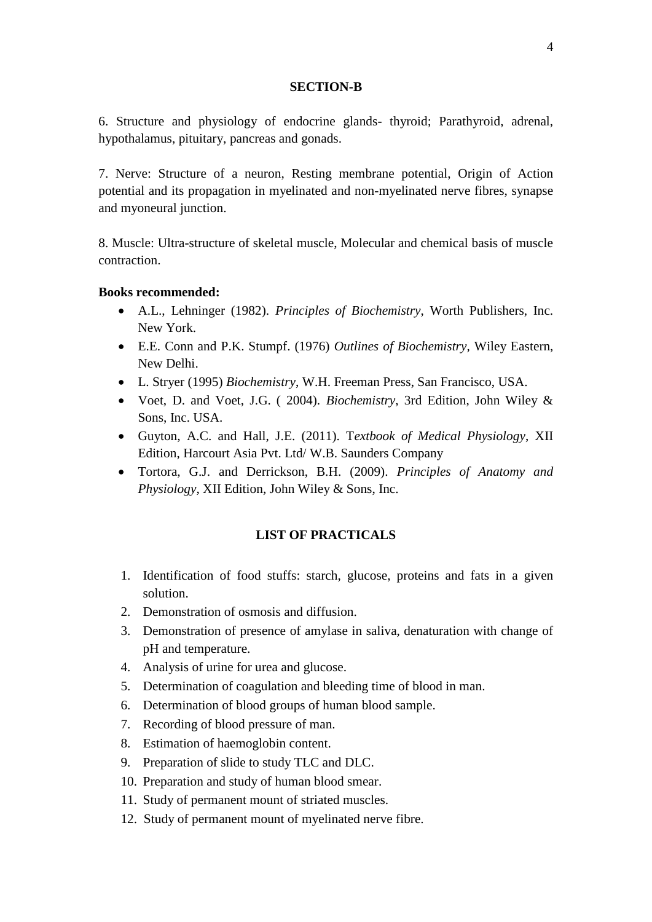### **SECTION-B**

6. Structure and physiology of endocrine glands- thyroid; Parathyroid, adrenal, hypothalamus, pituitary, pancreas and gonads.

7. Nerve: Structure of a neuron, Resting membrane potential, Origin of Action potential and its propagation in myelinated and non-myelinated nerve fibres, synapse and myoneural junction.

8. Muscle: Ultra-structure of skeletal muscle, Molecular and chemical basis of muscle contraction.

# **Books recommended:**

- A.L., Lehninger (1982). *Principles of Biochemistry*, Worth Publishers, Inc. New York.
- E.E. Conn and P.K. Stumpf. (1976) *Outlines of Biochemistry,* Wiley Eastern, New Delhi.
- L. Stryer (1995) *Biochemistry*, W.H. Freeman Press, San Francisco, USA.
- Voet, D. and Voet, J.G. ( 2004). *Biochemistry*, 3rd Edition, John Wiley & Sons, Inc. USA.
- Guyton, A.C. and Hall, J.E. (2011). T*extbook of Medical Physiology*, XII Edition, Harcourt Asia Pvt. Ltd/ W.B. Saunders Company
- Tortora, G.J. and Derrickson, B.H. (2009). *Principles of Anatomy and Physiology*, XII Edition, John Wiley & Sons, Inc.

# **LIST OF PRACTICALS**

- 1. Identification of food stuffs: starch, glucose, proteins and fats in a given solution.
- 2. Demonstration of osmosis and diffusion.
- 3. Demonstration of presence of amylase in saliva, denaturation with change of pH and temperature.
- 4. Analysis of urine for urea and glucose.
- 5. Determination of coagulation and bleeding time of blood in man.
- 6. Determination of blood groups of human blood sample.
- 7. Recording of blood pressure of man.
- 8. Estimation of haemoglobin content.
- 9. Preparation of slide to study TLC and DLC.
- 10. Preparation and study of human blood smear.
- 11. Study of permanent mount of striated muscles.
- 12. Study of permanent mount of myelinated nerve fibre.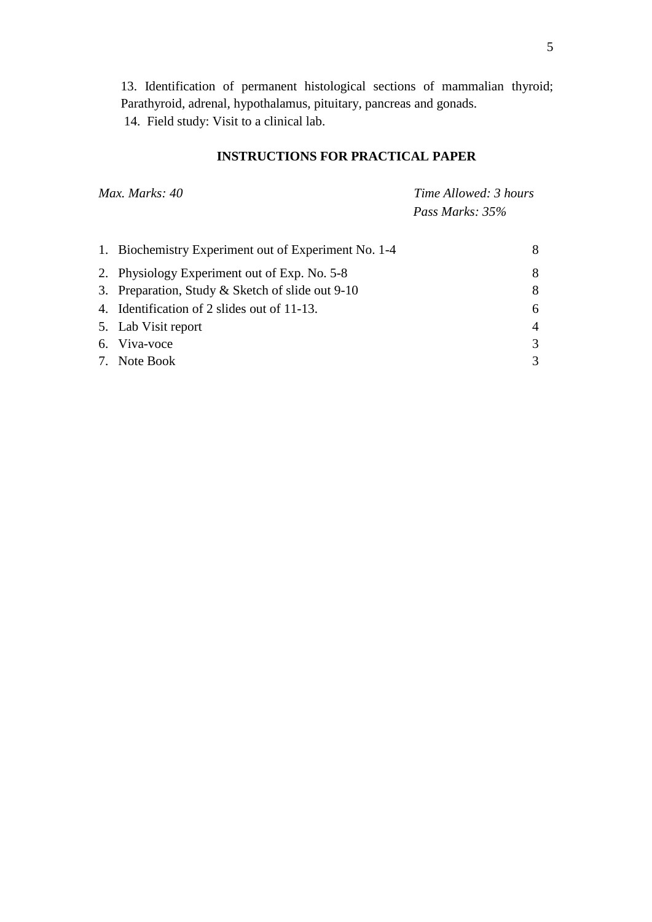13. Identification of permanent histological sections of mammalian thyroid; Parathyroid, adrenal, hypothalamus, pituitary, pancreas and gonads. 14. Field study: Visit to a clinical lab.

# **INSTRUCTIONS FOR PRACTICAL PAPER**

*Max. Marks: 40 Time Allowed: 3 hours Pass Marks: 35%* 

| 1. Biochemistry Experiment out of Experiment No. 1-4 | 8              |
|------------------------------------------------------|----------------|
| 2. Physiology Experiment out of Exp. No. 5-8         | 8              |
| 3. Preparation, Study & Sketch of slide out 9-10     | 8              |
| 4. Identification of 2 slides out of 11-13.          | 6              |
| 5. Lab Visit report                                  | $\overline{4}$ |
| 6. Viva-voce                                         | $\mathcal{R}$  |
| 7. Note Book                                         | $\mathcal{R}$  |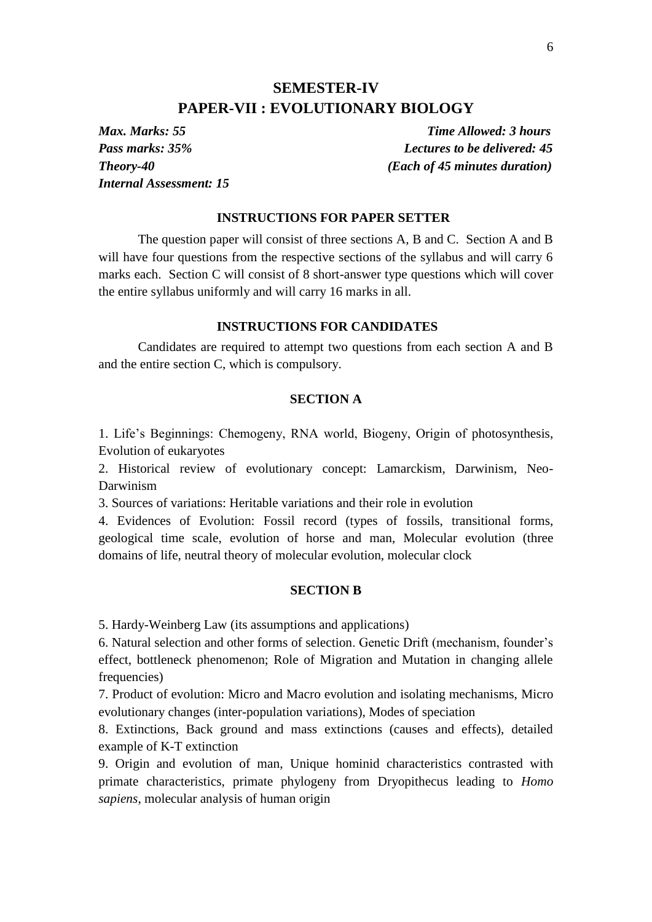# **SEMESTER-IV PAPER-VII : EVOLUTIONARY BIOLOGY**

*Internal Assessment: 15*

*Max. Marks: 55 Time Allowed: 3 hours Pass marks: 35% Lectures to be delivered: 45 Theory-40 (Each of 45 minutes duration)*

### **INSTRUCTIONS FOR PAPER SETTER**

The question paper will consist of three sections A, B and C. Section A and B will have four questions from the respective sections of the syllabus and will carry 6 marks each. Section C will consist of 8 short-answer type questions which will cover the entire syllabus uniformly and will carry 16 marks in all.

### **INSTRUCTIONS FOR CANDIDATES**

Candidates are required to attempt two questions from each section A and B and the entire section C, which is compulsory.

### **SECTION A**

1. Life's Beginnings: Chemogeny, RNA world, Biogeny, Origin of photosynthesis, Evolution of eukaryotes

2. Historical review of evolutionary concept: Lamarckism, Darwinism, Neo-Darwinism

3. Sources of variations: Heritable variations and their role in evolution

4. Evidences of Evolution: Fossil record (types of fossils, transitional forms, geological time scale, evolution of horse and man, Molecular evolution (three domains of life, neutral theory of molecular evolution, molecular clock

#### **SECTION B**

5. Hardy-Weinberg Law (its assumptions and applications)

6. Natural selection and other forms of selection. Genetic Drift (mechanism, founder's effect, bottleneck phenomenon; Role of Migration and Mutation in changing allele frequencies)

7. Product of evolution: Micro and Macro evolution and isolating mechanisms, Micro evolutionary changes (inter-population variations), Modes of speciation

8. Extinctions, Back ground and mass extinctions (causes and effects), detailed example of K-T extinction

9. Origin and evolution of man, Unique hominid characteristics contrasted with primate characteristics, primate phylogeny from Dryopithecus leading to *Homo sapiens*, molecular analysis of human origin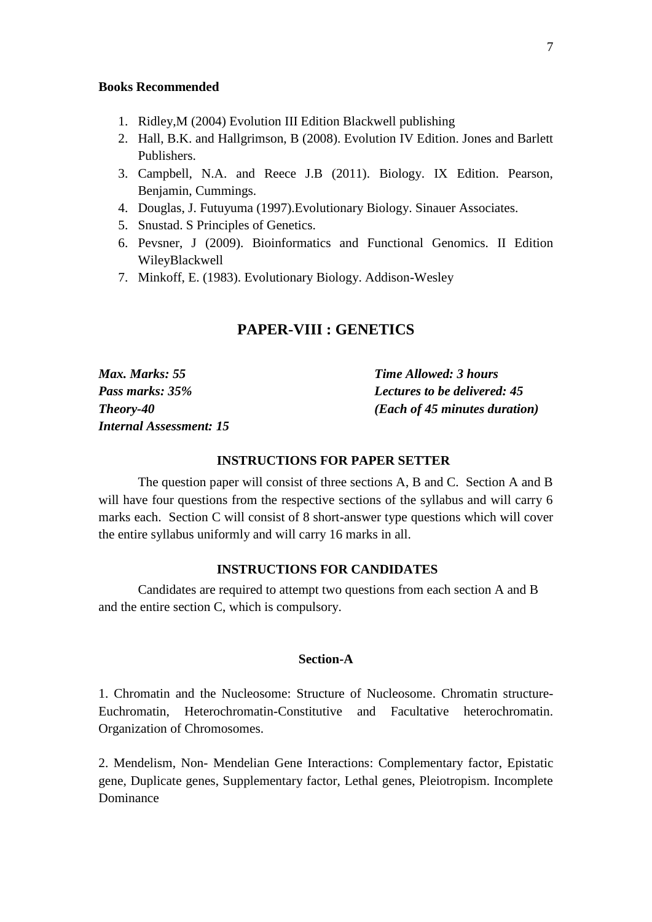### **Books Recommended**

- 1. Ridley,M (2004) Evolution III Edition Blackwell publishing
- 2. Hall, B.K. and Hallgrimson, B (2008). Evolution IV Edition. Jones and Barlett Publishers.
- 3. Campbell, N.A. and Reece J.B (2011). Biology. IX Edition. Pearson, Benjamin, Cummings.
- 4. Douglas, J. Futuyuma (1997).Evolutionary Biology. Sinauer Associates.
- 5. Snustad. S Principles of Genetics.
- 6. Pevsner, J (2009). Bioinformatics and Functional Genomics. II Edition WileyBlackwell
- 7. Minkoff, E. (1983). Evolutionary Biology. Addison-Wesley

# **PAPER-VIII : GENETICS**

| Max. Marks: 55                 | <b>Time Allowed: 3 hours</b>           |
|--------------------------------|----------------------------------------|
| Pass marks: 35%                | <b>Lectures to be delivered: 45</b>    |
| Theory-40                      | ( <i>Each of 45 minutes duration</i> ) |
| <i>Internal Assessment: 15</i> |                                        |

# **INSTRUCTIONS FOR PAPER SETTER**

The question paper will consist of three sections A, B and C. Section A and B will have four questions from the respective sections of the syllabus and will carry 6 marks each. Section C will consist of 8 short-answer type questions which will cover the entire syllabus uniformly and will carry 16 marks in all.

# **INSTRUCTIONS FOR CANDIDATES**

Candidates are required to attempt two questions from each section A and B and the entire section C, which is compulsory.

### **Section-A**

1. Chromatin and the Nucleosome: Structure of Nucleosome. Chromatin structure-Euchromatin, Heterochromatin-Constitutive and Facultative heterochromatin. Organization of Chromosomes.

2. Mendelism, Non- Mendelian Gene Interactions: Complementary factor, Epistatic gene, Duplicate genes, Supplementary factor, Lethal genes, Pleiotropism. Incomplete Dominance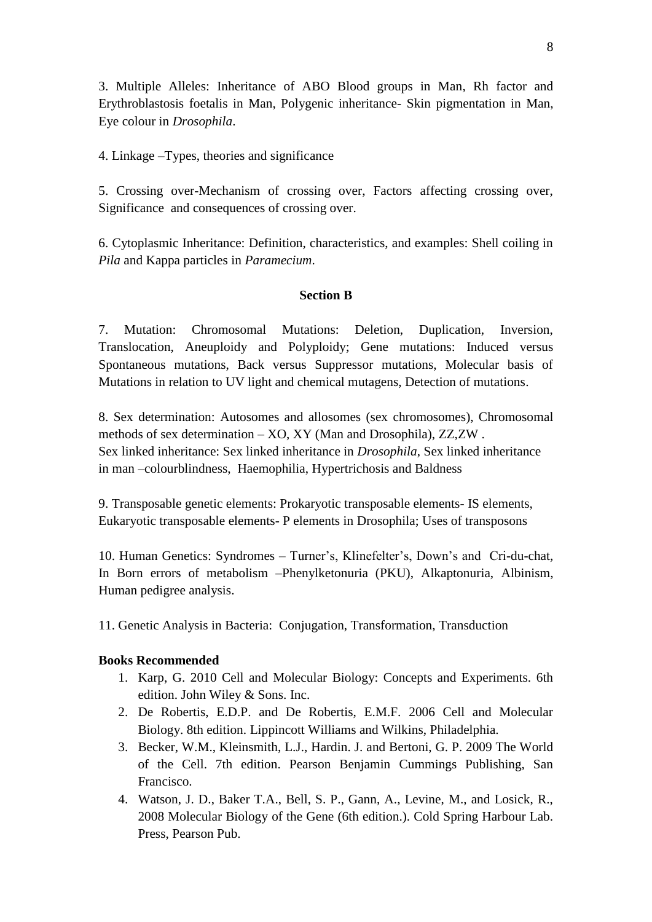3. Multiple Alleles: Inheritance of ABO Blood groups in Man, Rh factor and Erythroblastosis foetalis in Man, Polygenic inheritance- Skin pigmentation in Man, Eye colour in *Drosophila*.

4. Linkage –Types, theories and significance

5. Crossing over-Mechanism of crossing over, Factors affecting crossing over, Significance and consequences of crossing over.

6. Cytoplasmic Inheritance: Definition, characteristics, and examples: Shell coiling in *Pila* and Kappa particles in *Paramecium*.

# **Section B**

7. Mutation: Chromosomal Mutations: Deletion, Duplication, Inversion, Translocation, Aneuploidy and Polyploidy; Gene mutations: Induced versus Spontaneous mutations, Back versus Suppressor mutations, Molecular basis of Mutations in relation to UV light and chemical mutagens, Detection of mutations.

8. Sex determination: Autosomes and allosomes (sex chromosomes), Chromosomal methods of sex determination – XO, XY (Man and Drosophila), ZZ,ZW . Sex linked inheritance: Sex linked inheritance in *Drosophila*, Sex linked inheritance in man –colourblindness, Haemophilia, Hypertrichosis and Baldness

9. Transposable genetic elements: Prokaryotic transposable elements- IS elements, Eukaryotic transposable elements- P elements in Drosophila; Uses of transposons

10. Human Genetics: Syndromes – Turner's, Klinefelter's, Down's and Cri-du-chat, In Born errors of metabolism –Phenylketonuria (PKU), Alkaptonuria, Albinism, Human pedigree analysis.

11. Genetic Analysis in Bacteria: Conjugation, Transformation, Transduction

# **Books Recommended**

- 1. Karp, G. 2010 Cell and Molecular Biology: Concepts and Experiments. 6th edition. John Wiley & Sons. Inc.
- 2. De Robertis, E.D.P. and De Robertis, E.M.F. 2006 Cell and Molecular Biology. 8th edition. Lippincott Williams and Wilkins, Philadelphia.
- 3. Becker, W.M., Kleinsmith, L.J., Hardin. J. and Bertoni, G. P. 2009 The World of the Cell. 7th edition. Pearson Benjamin Cummings Publishing, San Francisco.
- 4. Watson, J. D., Baker T.A., Bell, S. P., Gann, A., Levine, M., and Losick, R., 2008 Molecular Biology of the Gene (6th edition.). Cold Spring Harbour Lab. Press, Pearson Pub.